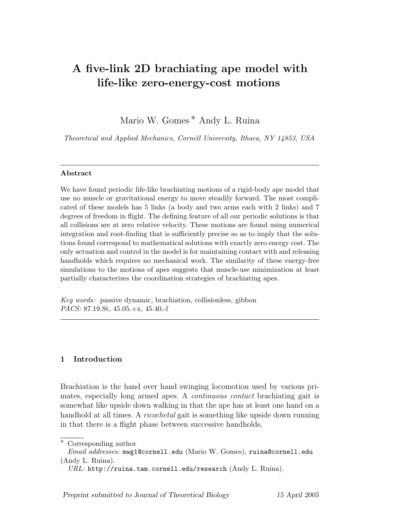# A five-link 2D brachiating ape model with life-like zero-energy-cost motions

Mario W. Gomes<sup>\*</sup> Andy L. Ruina

Theoretical and Applied Mechanics, Cornell University, Ithaca, NY 14853, USA

# Abstract

We have found periodic life-like brachiating motions of a rigid-body ape model that use no muscle or gravitational energy to move steadily forward. The most complicated of these models has 5 links (a body and two arms each with 2 links) and 7 degrees of freedom in flight. The defining feature of all our periodic solutions is that all collisions are at zero relative velocity. These motions are found using numerical integration and root-finding that is sufficiently precise so as to imply that the solutions found correspond to mathematical solutions with exactly zero energy cost. The only actuation and control in the model is for maintaining contact with and releasing handholds which requires no mechanical work. The similarity of these energy-free simulations to the motions of apes suggests that muscle-use minimization at least partially characterizes the coordination strategies of brachiating apes.

Key words: passive dynamic, brachiation, collisionless, gibbon PACS: 87.19.St, 45.05.+x, 45.40.-f

# 1 Introduction

Brachiation is the hand over hand swinging locomotion used by various primates, especially long armed apes. A continuous contact brachiating gait is somewhat like upside down walking in that the ape has at least one hand on a handhold at all times. A *ricochetal* gait is something like upside down running in that there is a flight phase between successive handholds,

∗ Corresponding author

Email addresses: mwg1@cornell.edu (Mario W. Gomes), ruina@cornell.edu (Andy L. Ruina).

 $URL: \text{http://ruina.tam.cornell.edu/research (Andy L. Ruina).}$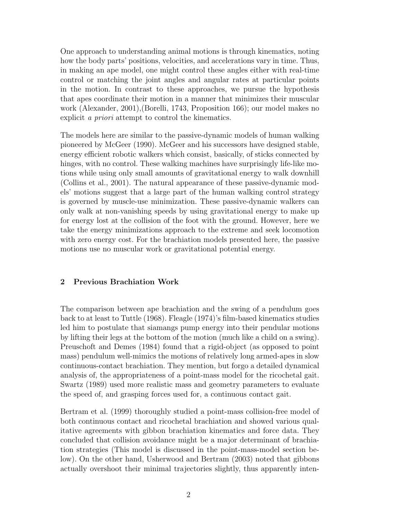One approach to understanding animal motions is through kinematics, noting how the body parts' positions, velocities, and accelerations vary in time. Thus, in making an ape model, one might control these angles either with real-time control or matching the joint angles and angular rates at particular points in the motion. In contrast to these approaches, we pursue the hypothesis that apes coordinate their motion in a manner that minimizes their muscular work (Alexander, 2001),(Borelli, 1743, Proposition 166); our model makes no explicit *a priori* attempt to control the kinematics.

The models here are similar to the passive-dynamic models of human walking pioneered by McGeer (1990). McGeer and his successors have designed stable, energy efficient robotic walkers which consist, basically, of sticks connected by hinges, with no control. These walking machines have surprisingly life-like motions while using only small amounts of gravitational energy to walk downhill (Collins et al., 2001). The natural appearance of these passive-dynamic models' motions suggest that a large part of the human walking control strategy is governed by muscle-use minimization. These passive-dynamic walkers can only walk at non-vanishing speeds by using gravitational energy to make up for energy lost at the collision of the foot with the ground. However, here we take the energy minimizations approach to the extreme and seek locomotion with zero energy cost. For the brachiation models presented here, the passive motions use no muscular work or gravitational potential energy.

# 2 Previous Brachiation Work

The comparison between ape brachiation and the swing of a pendulum goes back to at least to Tuttle (1968). Fleagle (1974)'s film-based kinematics studies led him to postulate that siamangs pump energy into their pendular motions by lifting their legs at the bottom of the motion (much like a child on a swing). Preuschoft and Demes (1984) found that a rigid-object (as opposed to point mass) pendulum well-mimics the motions of relatively long armed-apes in slow continuous-contact brachiation. They mention, but forgo a detailed dynamical analysis of, the appropriateness of a point-mass model for the ricochetal gait. Swartz (1989) used more realistic mass and geometry parameters to evaluate the speed of, and grasping forces used for, a continuous contact gait.

Bertram et al. (1999) thoroughly studied a point-mass collision-free model of both continuous contact and ricochetal brachiation and showed various qualitative agreements with gibbon brachiation kinematics and force data. They concluded that collision avoidance might be a major determinant of brachiation strategies (This model is discussed in the point-mass-model section below). On the other hand, Usherwood and Bertram (2003) noted that gibbons actually overshoot their minimal trajectories slightly, thus apparently inten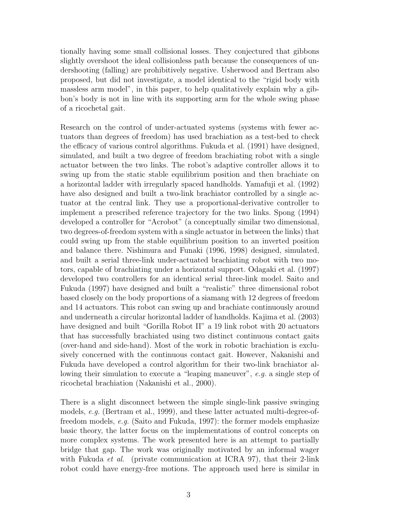tionally having some small collisional losses. They conjectured that gibbons slightly overshoot the ideal collisionless path because the consequences of undershooting (falling) are prohibitively negative. Usherwood and Bertram also proposed, but did not investigate, a model identical to the "rigid body with massless arm model", in this paper, to help qualitatively explain why a gibbon's body is not in line with its supporting arm for the whole swing phase of a ricochetal gait.

Research on the control of under-actuated systems (systems with fewer actuators than degrees of freedom) has used brachiation as a test-bed to check the efficacy of various control algorithms. Fukuda et al. (1991) have designed, simulated, and built a two degree of freedom brachiating robot with a single actuator between the two links. The robot's adaptive controller allows it to swing up from the static stable equilibrium position and then brachiate on a horizontal ladder with irregularly spaced handholds. Yamafuji et al. (1992) have also designed and built a two-link brachiator controlled by a single actuator at the central link. They use a proportional-derivative controller to implement a prescribed reference trajectory for the two links. Spong (1994) developed a controller for "Acrobot" (a conceptually similar two dimensional, two degrees-of-freedom system with a single actuator in between the links) that could swing up from the stable equilibrium position to an inverted position and balance there. Nishimura and Funaki (1996, 1998) designed, simulated, and built a serial three-link under-actuated brachiating robot with two motors, capable of brachiating under a horizontal support. Odagaki et al. (1997) developed two controllers for an identical serial three-link model. Saito and Fukuda (1997) have designed and built a "realistic" three dimensional robot based closely on the body proportions of a siamang with 12 degrees of freedom and 14 actuators. This robot can swing up and brachiate continuously around and underneath a circular horizontal ladder of handholds. Kajima et al. (2003) have designed and built "Gorilla Robot II" a 19 link robot with 20 actuators that has successfully brachiated using two distinct continuous contact gaits (over-hand and side-hand). Most of the work in robotic brachiation is exclusively concerned with the continuous contact gait. However, Nakanishi and Fukuda have developed a control algorithm for their two-link brachiator allowing their simulation to execute a "leaping maneuver", e.g. a single step of ricochetal brachiation (Nakanishi et al., 2000).

There is a slight disconnect between the simple single-link passive swinging models, e.g. (Bertram et al., 1999), and these latter actuated multi-degree-offreedom models, e.g. (Saito and Fukuda, 1997): the former models emphasize basic theory, the latter focus on the implementations of control concepts on more complex systems. The work presented here is an attempt to partially bridge that gap. The work was originally motivated by an informal wager with Fukuda *et al.* (private communication at ICRA 97), that their 2-link robot could have energy-free motions. The approach used here is similar in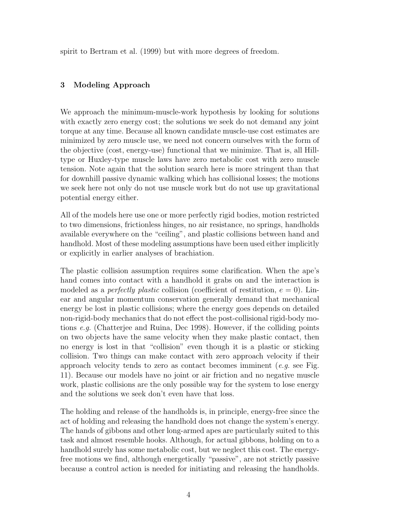spirit to Bertram et al. (1999) but with more degrees of freedom.

# 3 Modeling Approach

We approach the minimum-muscle-work hypothesis by looking for solutions with exactly zero energy cost; the solutions we seek do not demand any joint torque at any time. Because all known candidate muscle-use cost estimates are minimized by zero muscle use, we need not concern ourselves with the form of the objective (cost, energy-use) functional that we minimize. That is, all Hilltype or Huxley-type muscle laws have zero metabolic cost with zero muscle tension. Note again that the solution search here is more stringent than that for downhill passive dynamic walking which has collisional losses; the motions we seek here not only do not use muscle work but do not use up gravitational potential energy either.

All of the models here use one or more perfectly rigid bodies, motion restricted to two dimensions, frictionless hinges, no air resistance, no springs, handholds available everywhere on the "ceiling", and plastic collisions between hand and handhold. Most of these modeling assumptions have been used either implicitly or explicitly in earlier analyses of brachiation.

The plastic collision assumption requires some clarification. When the ape's hand comes into contact with a handhold it grabs on and the interaction is modeled as a *perfectly plastic* collision (coefficient of restitution,  $e = 0$ ). Linear and angular momentum conservation generally demand that mechanical energy be lost in plastic collisions; where the energy goes depends on detailed non-rigid-body mechanics that do not effect the post-collisional rigid-body motions e.g. (Chatterjee and Ruina, Dec 1998). However, if the colliding points on two objects have the same velocity when they make plastic contact, then no energy is lost in that "collision" even though it is a plastic or sticking collision. Two things can make contact with zero approach velocity if their approach velocity tends to zero as contact becomes imminent  $(e,q)$  see Fig. 11). Because our models have no joint or air friction and no negative muscle work, plastic collisions are the only possible way for the system to lose energy and the solutions we seek don't even have that loss.

The holding and release of the handholds is, in principle, energy-free since the act of holding and releasing the handhold does not change the system's energy. The hands of gibbons and other long-armed apes are particularly suited to this task and almost resemble hooks. Although, for actual gibbons, holding on to a handhold surely has some metabolic cost, but we neglect this cost. The energyfree motions we find, although energetically "passive", are not strictly passive because a control action is needed for initiating and releasing the handholds.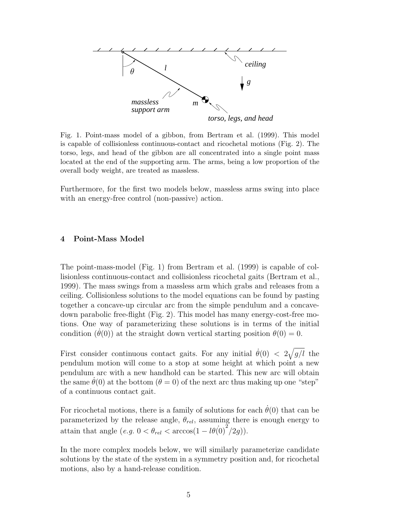

Fig. 1. Point-mass model of a gibbon, from Bertram et al. (1999). This model is capable of collisionless continuous-contact and ricochetal motions (Fig. 2). The torso, legs, and head of the gibbon are all concentrated into a single point mass located at the end of the supporting arm. The arms, being a low proportion of the overall body weight, are treated as massless.

Furthermore, for the first two models below, massless arms swing into place with an energy-free control (non-passive) action.

### 4 Point-Mass Model

The point-mass-model (Fig. 1) from Bertram et al. (1999) is capable of collisionless continuous-contact and collisionless ricochetal gaits (Bertram et al., 1999). The mass swings from a massless arm which grabs and releases from a ceiling. Collisionless solutions to the model equations can be found by pasting together a concave-up circular arc from the simple pendulum and a concavedown parabolic free-flight (Fig. 2). This model has many energy-cost-free motions. One way of parameterizing these solutions is in terms of the initial condition  $(\theta(0))$  at the straight down vertical starting position  $\theta(0) = 0$ .

First consider continuous contact gaits. For any initial  $\dot{\theta}(0) < 2\sqrt{ }$  $g/l$  the pendulum motion will come to a stop at some height at which point a new pendulum arc with a new handhold can be started. This new arc will obtain the same  $\theta(0)$  at the bottom  $(\theta = 0)$  of the next arc thus making up one "step" of a continuous contact gait.

For ricochetal motions, there is a family of solutions for each  $\theta(0)$  that can be parameterized by the release angle,  $\theta_{rel}$ , assuming there is enough energy to attain that angle  $(e.g. 0 < \theta_{rel} < \arccos(1 - l\theta(0)^2/2g)).$ 

In the more complex models below, we will similarly parameterize candidate solutions by the state of the system in a symmetry position and, for ricochetal motions, also by a hand-release condition.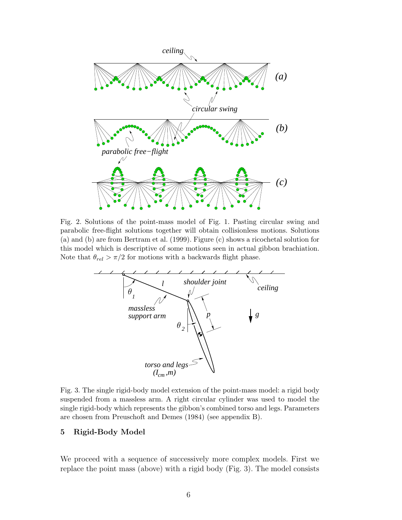

Fig. 2. Solutions of the point-mass model of Fig. 1. Pasting circular swing and parabolic free-flight solutions together will obtain collisionless motions. Solutions (a) and (b) are from Bertram et al. (1999). Figure (c) shows a ricochetal solution for this model which is descriptive of some motions seen in actual gibbon brachiation. Note that  $\theta_{rel} > \pi/2$  for motions with a backwards flight phase.



Fig. 3. The single rigid-body model extension of the point-mass model: a rigid body suspended from a massless arm. A right circular cylinder was used to model the single rigid-body which represents the gibbon's combined torso and legs. Parameters are chosen from Preuschoft and Demes (1984) (see appendix B).

## 5 Rigid-Body Model

We proceed with a sequence of successively more complex models. First we replace the point mass (above) with a rigid body (Fig. 3). The model consists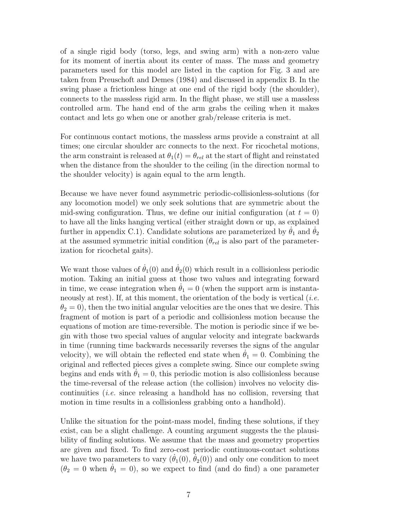of a single rigid body (torso, legs, and swing arm) with a non-zero value for its moment of inertia about its center of mass. The mass and geometry parameters used for this model are listed in the caption for Fig. 3 and are taken from Preuschoft and Demes (1984) and discussed in appendix B. In the swing phase a frictionless hinge at one end of the rigid body (the shoulder), connects to the massless rigid arm. In the flight phase, we still use a massless controlled arm. The hand end of the arm grabs the ceiling when it makes contact and lets go when one or another grab/release criteria is met.

For continuous contact motions, the massless arms provide a constraint at all times; one circular shoulder arc connects to the next. For ricochetal motions, the arm constraint is released at  $\theta_1(t) = \theta_{rel}$  at the start of flight and reinstated when the distance from the shoulder to the ceiling (in the direction normal to the shoulder velocity) is again equal to the arm length.

Because we have never found asymmetric periodic-collisionless-solutions (for any locomotion model) we only seek solutions that are symmetric about the mid-swing configuration. Thus, we define our initial configuration (at  $t = 0$ ) to have all the links hanging vertical (either straight down or up, as explained further in appendix C.1). Candidate solutions are parameterized by  $\theta_1$  and  $\theta_2$ at the assumed symmetric initial condition  $(\theta_{rel}$  is also part of the parameterization for ricochetal gaits).

We want those values of  $\dot{\theta}_1(0)$  and  $\dot{\theta}_2(0)$  which result in a collisionless periodic motion. Taking an initial guess at those two values and integrating forward in time, we cease integration when  $\theta_1 = 0$  (when the support arm is instantaneously at rest). If, at this moment, the orientation of the body is vertical (*i.e.*  $\theta_2 = 0$ , then the two initial angular velocities are the ones that we desire. This fragment of motion is part of a periodic and collisionless motion because the equations of motion are time-reversible. The motion is periodic since if we begin with those two special values of angular velocity and integrate backwards in time (running time backwards necessarily reverses the signs of the angular velocity), we will obtain the reflected end state when  $\theta_1 = 0$ . Combining the original and reflected pieces gives a complete swing. Since our complete swing begins and ends with  $\theta_1 = 0$ , this periodic motion is also collisionless because the time-reversal of the release action (the collision) involves no velocity discontinuities (i.e. since releasing a handhold has no collision, reversing that motion in time results in a collisionless grabbing onto a handhold).

Unlike the situation for the point-mass model, finding these solutions, if they exist, can be a slight challenge. A counting argument suggests the the plausibility of finding solutions. We assume that the mass and geometry properties are given and fixed. To find zero-cost periodic continuous-contact solutions we have two parameters to vary  $(\hat{\theta}_1(0), \hat{\theta}_2(0))$  and only one condition to meet  $(\theta_2 = 0$  when  $\dot{\theta}_1 = 0$ , so we expect to find (and do find) a one parameter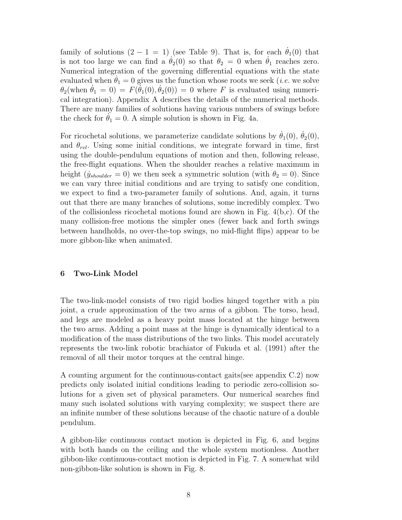family of solutions  $(2 - 1 = 1)$  (see Table 9). That is, for each  $\dot{\theta}_1(0)$  that is not too large we can find a  $\theta_2(0)$  so that  $\theta_2 = 0$  when  $\theta_1$  reaches zero. Numerical integration of the governing differential equations with the state evaluated when  $\theta_1 = 0$  gives us the function whose roots we seek (*i.e.* we solve  $\theta_2(\text{when } \dot{\theta}_1 = 0) = F(\dot{\theta}_1(0), \dot{\theta}_2(0)) = 0$  where F is evaluated using numerical integration). Appendix A describes the details of the numerical methods. There are many families of solutions having various numbers of swings before the check for  $\theta_1 = 0$ . A simple solution is shown in Fig. 4a.

For ricochetal solutions, we parameterize candidate solutions by  $\theta_1(0)$ ,  $\theta_2(0)$ , and  $\theta_{rel}$ . Using some initial conditions, we integrate forward in time, first using the double-pendulum equations of motion and then, following release, the free-flight equations. When the shoulder reaches a relative maximum in height ( $\dot{y}_{shoulder} = 0$ ) we then seek a symmetric solution (with  $\theta_2 = 0$ ). Since we can vary three initial conditions and are trying to satisfy one condition, we expect to find a two-parameter family of solutions. And, again, it turns out that there are many branches of solutions, some incredibly complex. Two of the collisionless ricochetal motions found are shown in Fig.  $4(b,c)$ . Of the many collision-free motions the simpler ones (fewer back and forth swings between handholds, no over-the-top swings, no mid-flight flips) appear to be more gibbon-like when animated.

## 6 Two-Link Model

The two-link-model consists of two rigid bodies hinged together with a pin joint, a crude approximation of the two arms of a gibbon. The torso, head, and legs are modeled as a heavy point mass located at the hinge between the two arms. Adding a point mass at the hinge is dynamically identical to a modification of the mass distributions of the two links. This model accurately represents the two-link robotic brachiator of Fukuda et al. (1991) after the removal of all their motor torques at the central hinge.

A counting argument for the continuous-contact gaits(see appendix C.2) now predicts only isolated initial conditions leading to periodic zero-collision solutions for a given set of physical parameters. Our numerical searches find many such isolated solutions with varying complexity; we suspect there are an infinite number of these solutions because of the chaotic nature of a double pendulum.

A gibbon-like continuous contact motion is depicted in Fig. 6, and begins with both hands on the ceiling and the whole system motionless. Another gibbon-like continuous-contact motion is depicted in Fig. 7. A somewhat wild non-gibbon-like solution is shown in Fig. 8.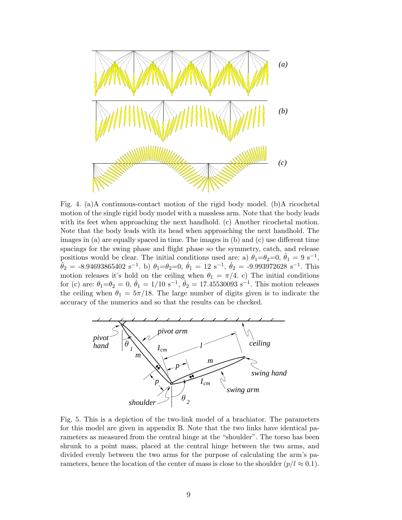

Fig. 4. (a)A continuous-contact motion of the rigid body model. (b)A ricochetal motion of the single rigid body model with a massless arm. Note that the body leads with its feet when approaching the next handhold. (c) Another ricochetal motion. Note that the body leads with its head when approaching the next handhold. The images in (a) are equally spaced in time. The images in (b) and (c) use different time spacings for the swing phase and flight phase so the symmetry, catch, and release positions would be clear. The initial conditions used are: a)  $\theta_1 = \theta_2 = 0$ ,  $\dot{\theta}_1 = 9$  s<sup>-1</sup>,  $\dot{\theta}_2 = -8.94693865402 \text{ s}^{-1}$ . b)  $\theta_1 = \theta_2 = 0$ ,  $\dot{\theta}_1 = 12 \text{ s}^{-1}$ ,  $\dot{\theta}_2 = -9.993972628 \text{ s}^{-1}$ . This motion releases it's hold on the ceiling when  $\theta_1 = \pi/4$ . c) The initial conditions for (c) are:  $\theta_1 = \theta_2 = 0, \dot{\theta}_1 = 1/10 \text{ s}^{-1}, \dot{\theta}_2 = 17.45530093 \text{ s}^{-1}$ . This motion releases the ceiling when  $\theta_1 = 5\pi/18$ . The large number of digits given is to indicate the accuracy of the numerics and so that the results can be checked.



Fig. 5. This is a depiction of the two-link model of a brachiator. The parameters for this model are given in appendix B. Note that the two links have identical parameters as measured from the central hinge at the "shoulder". The torso has been shrunk to a point mass, placed at the central hinge between the two arms, and divided evenly between the two arms for the purpose of calculating the arm's parameters, hence the location of the center of mass is close to the shoulder  $(p/l \approx 0.1)$ .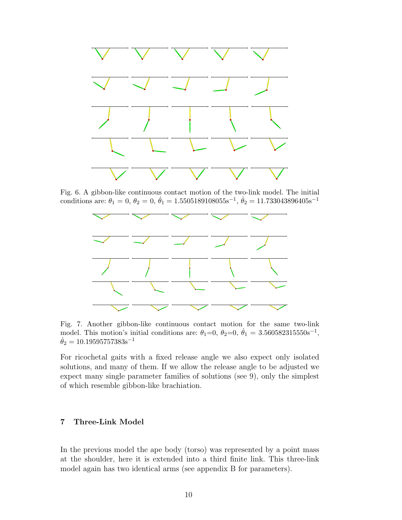

Fig. 6. A gibbon-like continuous contact motion of the two-link model. The initial conditions are:  $\theta_1 = 0, \theta_2 = 0, \dot{\theta}_1 = 1.5505189108055s^{-1}, \dot{\theta}_2 = 11.733043896405s^{-1}$ 



Fig. 7. Another gibbon-like continuous contact motion for the same two-link model. This motion's initial conditions are:  $\theta_1=0$ ,  $\theta_2=0$ ,  $\dot{\theta}_1=3.560582315550s^{-1}$ ,  $\dot{\theta}_2=10.19595757383 \text{s}^{-1}$ 

For ricochetal gaits with a fixed release angle we also expect only isolated solutions, and many of them. If we allow the release angle to be adjusted we expect many single parameter families of solutions (see 9), only the simplest of which resemble gibbon-like brachiation.

# 7 Three-Link Model

In the previous model the ape body (torso) was represented by a point mass at the shoulder, here it is extended into a third finite link. This three-link model again has two identical arms (see appendix B for parameters).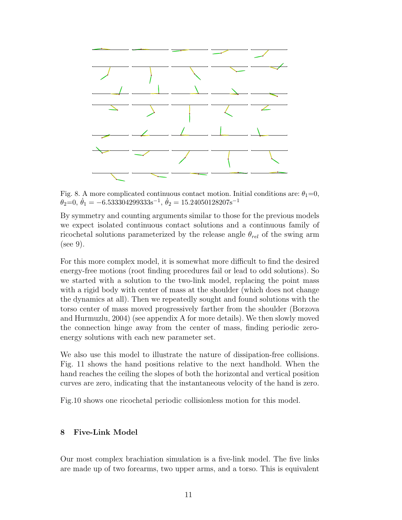

Fig. 8. A more complicated continuous contact motion. Initial conditions are:  $\theta_1=0$ ,  $\theta_2=0, \dot{\theta}_1=-6.533304299333\mathrm{s}^{-1}, \dot{\theta}_2=15.24050128207\mathrm{s}^{-1}$ 

By symmetry and counting arguments similar to those for the previous models we expect isolated continuous contact solutions and a continuous family of ricochetal solutions parameterized by the release angle  $\theta_{rel}$  of the swing arm (see 9).

For this more complex model, it is somewhat more difficult to find the desired energy-free motions (root finding procedures fail or lead to odd solutions). So we started with a solution to the two-link model, replacing the point mass with a rigid body with center of mass at the shoulder (which does not change the dynamics at all). Then we repeatedly sought and found solutions with the torso center of mass moved progressively farther from the shoulder (Borzova and Hurmuzlu, 2004) (see appendix A for more details). We then slowly moved the connection hinge away from the center of mass, finding periodic zeroenergy solutions with each new parameter set.

We also use this model to illustrate the nature of dissipation-free collisions. Fig. 11 shows the hand positions relative to the next handhold. When the hand reaches the ceiling the slopes of both the horizontal and vertical position curves are zero, indicating that the instantaneous velocity of the hand is zero.

Fig.10 shows one ricochetal periodic collisionless motion for this model.

## 8 Five-Link Model

Our most complex brachiation simulation is a five-link model. The five links are made up of two forearms, two upper arms, and a torso. This is equivalent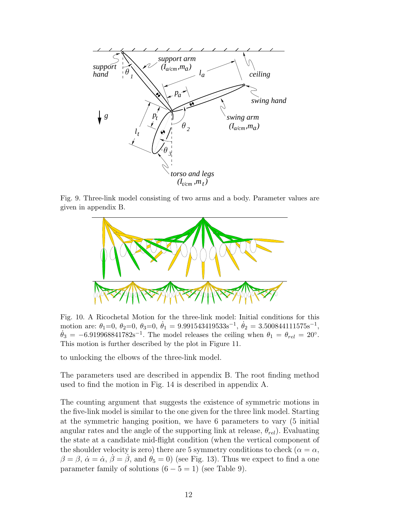

Fig. 9. Three-link model consisting of two arms and a body. Parameter values are given in appendix B.



Fig. 10. A Ricochetal Motion for the three-link model: Initial conditions for this motion are:  $\theta_1=0, \ \theta_2=0, \ \theta_3=0, \ \dot{\theta}_1=9.991543419533s^{-1}, \ \dot{\theta}_2=3.500844111575s^{-1},$  $\dot{\theta}_3 = -6.919968841782s^{-1}$ . The model releases the ceiling when  $\theta_1 = \theta_{rel} = 20^\circ$ . This motion is further described by the plot in Figure 11.

to unlocking the elbows of the three-link model.

The parameters used are described in appendix B. The root finding method used to find the motion in Fig. 14 is described in appendix A.

The counting argument that suggests the existence of symmetric motions in the five-link model is similar to the one given for the three link model. Starting at the symmetric hanging position, we have 6 parameters to vary (5 initial angular rates and the angle of the supporting link at release,  $\theta_{rel}$ ). Evaluating the state at a candidate mid-flight condition (when the vertical component of the shoulder velocity is zero) there are 5 symmetry conditions to check ( $\alpha = \alpha$ ,  $\beta = \beta$ ,  $\dot{\alpha} = \dot{\alpha}$ ,  $\dot{\beta} = \dot{\beta}$ , and  $\dot{\theta}_5 = 0$ ) (see Fig. 13). Thus we expect to find a one parameter family of solutions  $(6 - 5 = 1)$  (see Table 9).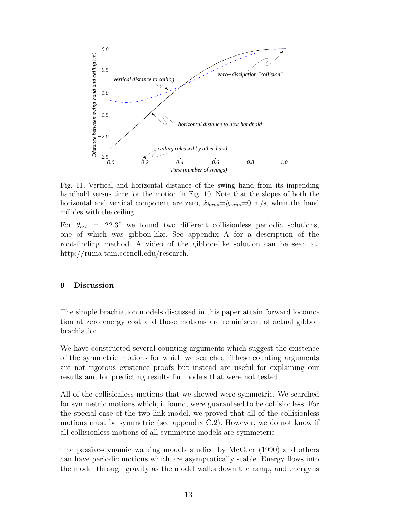

Fig. 11. Vertical and horizontal distance of the swing hand from its impending handhold versus time for the motion in Fig. 10. Note that the slopes of both the horizontal and vertical component are zero,  $\dot{x}_{hand} = \dot{y}_{hand} = 0$  m/s, when the hand collides with the ceiling.

For  $\theta_{rel}$  = 22.3° we found two different collisionless periodic solutions, one of which was gibbon-like. See appendix A for a description of the root-finding method. A video of the gibbon-like solution can be seen at: http://ruina.tam.cornell.edu/research.

## 9 Discussion

The simple brachiation models discussed in this paper attain forward locomotion at zero energy cost and those motions are reminiscent of actual gibbon brachiation.

We have constructed several counting arguments which suggest the existence of the symmetric motions for which we searched. These counting arguments are not rigorous existence proofs but instead are useful for explaining our results and for predicting results for models that were not tested.

All of the collisionless motions that we showed were symmetric. We searched for symmetric motions which, if found, were guaranteed to be collisionless. For the special case of the two-link model, we proved that all of the collisionless motions must be symmetric (see appendix C.2). However, we do not know if all collisionless motions of all symmetric models are symmeteric.

The passive-dynamic walking models studied by McGeer (1990) and others can have periodic motions which are asymptotically stable. Energy flows into the model through gravity as the model walks down the ramp, and energy is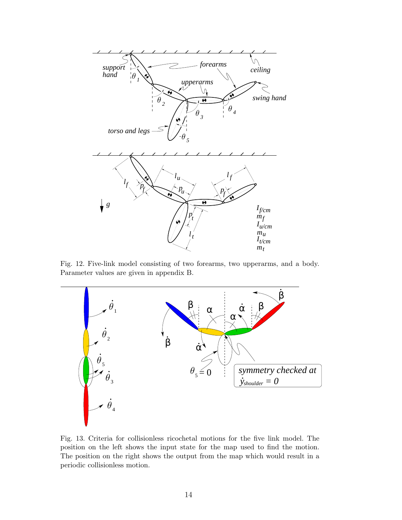

Fig. 12. Five-link model consisting of two forearms, two upperarms, and a body. Parameter values are given in appendix B.



Fig. 13. Criteria for collisionless ricochetal motions for the five link model. The position on the left shows the input state for the map used to find the motion. The position on the right shows the output from the map which would result in a periodic collisionless motion.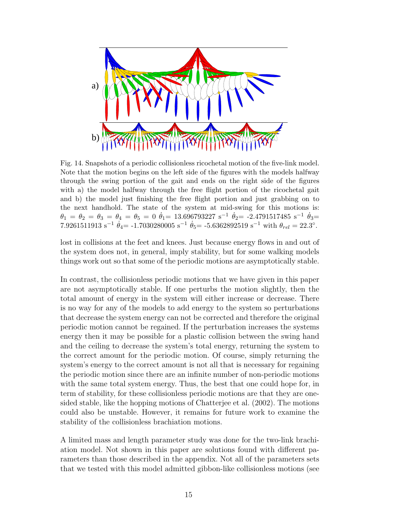

Fig. 14. Snapshots of a periodic collisionless ricochetal motion of the five-link model. Note that the motion begins on the left side of the figures with the models halfway through the swing portion of the gait and ends on the right side of the figures with a) the model halfway through the free flight portion of the ricochetal gait and b) the model just finishing the free flight portion and just grabbing on to the next handhold. The state of the system at mid-swing for this motions is:  $\theta_1 = \theta_2 = \theta_3 = \theta_4 = \theta_5 = 0$   $\dot{\theta}_1 = 13.696793227$  s<sup>-1</sup>  $\dot{\theta}_2 = -2.4791517485$  s<sup>-1</sup>  $\dot{\theta}_3 =$ 7.9261511913 s<sup>-1</sup>  $\dot{\theta}_4$  = -1.7030280005 s<sup>-1</sup>  $\dot{\theta}_5$  = -5.6362892519 s<sup>-1</sup> with  $\theta_{rel} = 22.3^{\circ}$ .

lost in collisions at the feet and knees. Just because energy flows in and out of the system does not, in general, imply stability, but for some walking models things work out so that some of the periodic motions are asymptotically stable.

In contrast, the collisionless periodic motions that we have given in this paper are not asymptotically stable. If one perturbs the motion slightly, then the total amount of energy in the system will either increase or decrease. There is no way for any of the models to add energy to the system so perturbations that decrease the system energy can not be corrected and therefore the original periodic motion cannot be regained. If the perturbation increases the systems energy then it may be possible for a plastic collision between the swing hand and the ceiling to decrease the system's total energy, returning the system to the correct amount for the periodic motion. Of course, simply returning the system's energy to the correct amount is not all that is necessary for regaining the periodic motion since there are an infinite number of non-periodic motions with the same total system energy. Thus, the best that one could hope for, in term of stability, for these collisionless periodic motions are that they are onesided stable, like the hopping motions of Chatterjee et al. (2002). The motions could also be unstable. However, it remains for future work to examine the stability of the collisionless brachiation motions.

A limited mass and length parameter study was done for the two-link brachiation model. Not shown in this paper are solutions found with different parameters than those described in the appendix. Not all of the parameters sets that we tested with this model admitted gibbon-like collisionless motions (see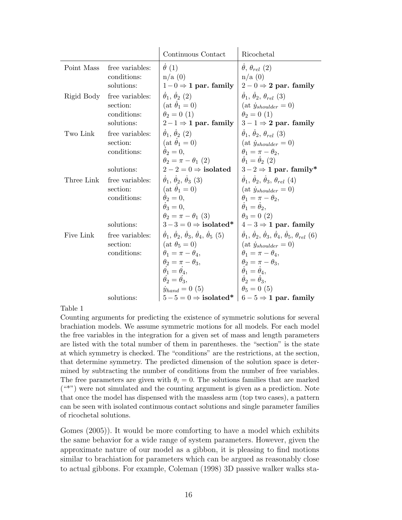|            |                                                          | Continuous Contact                                                                                                                                                                          | Ricochetal                                                                                                                                                                                                                                                                                                                                                                                                                                                    |
|------------|----------------------------------------------------------|---------------------------------------------------------------------------------------------------------------------------------------------------------------------------------------------|---------------------------------------------------------------------------------------------------------------------------------------------------------------------------------------------------------------------------------------------------------------------------------------------------------------------------------------------------------------------------------------------------------------------------------------------------------------|
| Point Mass | free variables:<br>conditions:<br>solutions:             | $\dot{\theta}$ (1)<br>n/a(0)<br>$1-0 \Rightarrow 1$ par. family                                                                                                                             | $\theta, \theta_{rel}$ (2)<br>n/a(0)<br>$2-0 \Rightarrow 2$ par. family                                                                                                                                                                                                                                                                                                                                                                                       |
| Rigid Body | free variables:<br>section:<br>conditions:<br>solutions: | $\dot{\theta}_1$ , $\dot{\theta}_2$ (2)<br>$(at \dot{\theta}_1 = 0)$<br>$\theta_2 = 0$ (1)<br>$2-1 \Rightarrow 1$ par. family $ 3-1 \Rightarrow 2$ par. family                              | $\dot{\theta}_1$ , $\dot{\theta}_2$ , $\theta_{rel}$ (3)<br>$(at \dot{y}_{shoulder} = 0)$<br>$\theta_2 = 0$ (1)                                                                                                                                                                                                                                                                                                                                               |
| Two Link   | free variables:<br>section:<br>conditions:<br>solutions: | $\dot{\theta}_1$ , $\dot{\theta}_2$ (2)<br>$(at \theta_1 = 0)$<br>$\dot{\theta}_2=0.$<br>$\theta_2 = \pi - \theta_1$ (2)                                                                    | $\dot{\theta}_1$ , $\dot{\theta}_2$ , $\theta_{rel}$ (3)<br>$(at \dot{y}_{shoulder} = 0)$<br>$\dot{\theta}_1 = \pi - \theta_2,$<br>$\dot{\theta}_1 = \dot{\theta}_2$ (2)<br>$2-2=0 \Rightarrow$ isolated $\begin{array}{c} 3-2 \Rightarrow 1 \text{ par. family}^* \end{array}$                                                                                                                                                                               |
| Three Link | free variables:<br>section:<br>conditions:<br>solutions: | $\dot{\theta}_1, \dot{\theta}_2, \dot{\theta}_3$ (3)<br>$(at \theta_1 = 0)$<br>$\dot{\theta}_2=0.$<br>$\dot{\theta}_3=0.$<br>$\theta_2 = \pi - \theta_1$ (3)                                | $\dot{\theta}_1, \dot{\theta}_2, \dot{\theta}_3, \theta_{rel}$ (4)<br>$(at \dot{y}_{shoulder} = 0)$<br>$\theta_1 = \pi - \theta_2,$<br>$\dot{\theta}_1 = \dot{\theta}_2$ ,<br>$\theta_3=0$ (2)<br>$3-3=0 \Rightarrow$ isolated* $  4-3 \Rightarrow$ 1 par. family                                                                                                                                                                                             |
| Five Link  | free variables:<br>section:<br>conditions:<br>solutions: | $(at \theta_5 = 0)$<br>$\theta_1 = \pi - \theta_4,$<br>$\theta_2 = \pi - \theta_3$<br>$\dot{\theta}_1 = \dot{\theta}_4$ ,<br>$\dot{\theta}_2 = \dot{\theta}_3,$<br>$\dot{y}_{hand} = 0 (5)$ | $\dot{\theta}_1, \dot{\theta}_2, \dot{\theta}_3, \dot{\theta}_4, \dot{\theta}_5$ (5) $ \dot{\theta}_1, \dot{\theta}_2, \dot{\theta}_3, \dot{\theta}_4, \dot{\theta}_5, \theta_{rel}$ (6)<br>(at $\dot{y}_{shoulder} = 0$ )<br>$\theta_1 = \pi - \theta_4,$<br>$\theta_2 = \pi - \theta_3,$<br>$\dot{\theta}_1 = \dot{\theta}_4,$<br>$\dot{\theta}_2 = \dot{\theta}_3,$<br>$\theta_5 = 0$ (5)<br>$5-5=0 \Rightarrow$ isolated* $6-5 \Rightarrow$ 1 par. family |

Table 1

Counting arguments for predicting the existence of symmetric solutions for several brachiation models. We assume symmetric motions for all models. For each model the free variables in the integration for a given set of mass and length parameters are listed with the total number of them in parentheses. the "section" is the state at which symmetry is checked. The "conditions" are the restrictions, at the section, that determine symmetry. The predicted dimension of the solution space is determined by subtracting the number of conditions from the number of free variables. The free parameters are given with  $\theta_i = 0$ . The solutions families that are marked ("\*") were not simulated and the counting argument is given as a prediction. Note that once the model has dispensed with the massless arm (top two cases), a pattern can be seen with isolated continuous contact solutions and single parameter families of ricochetal solutions.

Gomes (2005)). It would be more comforting to have a model which exhibits the same behavior for a wide range of system parameters. However, given the approximate nature of our model as a gibbon, it is pleasing to find motions similar to brachiation for parameters which can be argued as reasonably close to actual gibbons. For example, Coleman (1998) 3D passive walker walks sta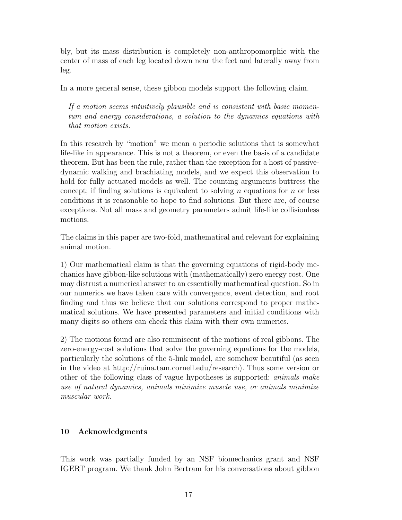bly, but its mass distribution is completely non-anthropomorphic with the center of mass of each leg located down near the feet and laterally away from leg.

In a more general sense, these gibbon models support the following claim.

If a motion seems intuitively plausible and is consistent with basic momentum and energy considerations, a solution to the dynamics equations with that motion exists.

In this research by "motion" we mean a periodic solutions that is somewhat life-like in appearance. This is not a theorem, or even the basis of a candidate theorem. But has been the rule, rather than the exception for a host of passivedynamic walking and brachiating models, and we expect this observation to hold for fully actuated models as well. The counting arguments buttress the concept; if finding solutions is equivalent to solving n equations for n or less conditions it is reasonable to hope to find solutions. But there are, of course exceptions. Not all mass and geometry parameters admit life-like collisionless motions.

The claims in this paper are two-fold, mathematical and relevant for explaining animal motion.

1) Our mathematical claim is that the governing equations of rigid-body mechanics have gibbon-like solutions with (mathematically) zero energy cost. One may distrust a numerical answer to an essentially mathematical question. So in our numerics we have taken care with convergence, event detection, and root finding and thus we believe that our solutions correspond to proper mathematical solutions. We have presented parameters and initial conditions with many digits so others can check this claim with their own numerics.

2) The motions found are also reminiscent of the motions of real gibbons. The zero-energy-cost solutions that solve the governing equations for the models, particularly the solutions of the 5-link model, are somehow beautiful (as seen in the video at http://ruina.tam.cornell.edu/research). Thus some version or other of the following class of vague hypotheses is supported: animals make use of natural dynamics, animals minimize muscle use, or animals minimize muscular work.

# 10 Acknowledgments

This work was partially funded by an NSF biomechanics grant and NSF IGERT program. We thank John Bertram for his conversations about gibbon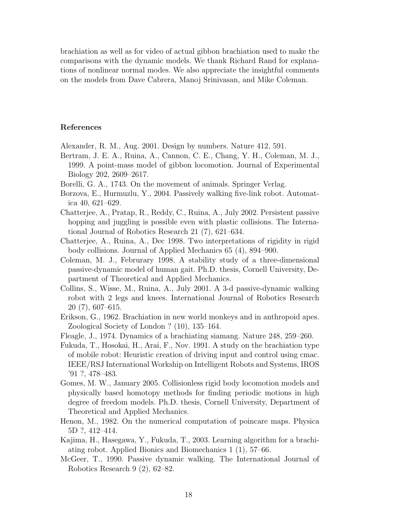brachiation as well as for video of actual gibbon brachiation used to make the comparisons with the dynamic models. We thank Richard Rand for explanations of nonlinear normal modes. We also appreciate the insightful comments on the models from Dave Cabrera, Manoj Srinivasan, and Mike Coleman.

# References

Alexander, R. M., Aug. 2001. Design by numbers. Nature 412, 591.

- Bertram, J. E. A., Ruina, A., Cannon, C. E., Chang, Y. H., Coleman, M. J., 1999. A point-mass model of gibbon locomotion. Journal of Experimental Biology 202, 2609–2617.
- Borelli, G. A., 1743. On the movement of animals. Springer Verlag.
- Borzova, E., Hurmuzlu, Y., 2004. Passively walking five-link robot. Automatica 40, 621–629.
- Chatterjee, A., Pratap, R., Reddy, C., Ruina, A., July 2002. Persistent passive hopping and juggling is possible even with plastic collisions. The International Journal of Robotics Research 21 (7), 621–634.
- Chatterjee, A., Ruina, A., Dec 1998. Two interpretations of rigidity in rigid body collisions. Journal of Applied Mechanics 65 (4), 894–900.
- Coleman, M. J., Februrary 1998. A stability study of a three-dimensional passive-dynamic model of human gait. Ph.D. thesis, Cornell University, Department of Theoretical and Applied Mechanics.
- Collins, S., Wisse, M., Ruina, A., July 2001. A 3-d passive-dynamic walking robot with 2 legs and knees. International Journal of Robotics Research 20 (7), 607–615.
- Erikson, G., 1962. Brachiation in new world monkeys and in anthropoid apes. Zoological Society of London ? (10), 135–164.
- Fleagle, J., 1974. Dynamics of a brachiating siamang. Nature 248, 259–260.
- Fukuda, T., Hosokai, H., Arai, F., Nov. 1991. A study on the brachiation type of mobile robot: Heuristic creation of driving input and control using cmac. IEEE/RSJ International Workship on Intelligent Robots and Systems, IROS '91 ?, 478–483.
- Gomes, M. W., January 2005. Collisionless rigid body locomotion models and physically based homotopy methods for finding periodic motions in high degree of freedom models. Ph.D. thesis, Cornell University, Department of Theoretical and Applied Mechanics.
- Henon, M., 1982. On the numerical computation of poincare maps. Physica 5D ?, 412–414.
- Kajima, H., Hasegawa, Y., Fukuda, T., 2003. Learning algorithm for a brachiating robot. Applied Bionics and Biomechanics 1 (1), 57–66.
- McGeer, T., 1990. Passive dynamic walking. The International Journal of Robotics Research 9 (2), 62–82.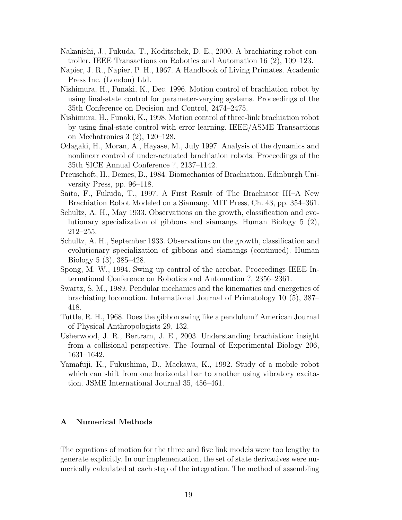- Nakanishi, J., Fukuda, T., Koditschek, D. E., 2000. A brachiating robot controller. IEEE Transactions on Robotics and Automation 16 (2), 109–123.
- Napier, J. R., Napier, P. H., 1967. A Handbook of Living Primates. Academic Press Inc. (London) Ltd.
- Nishimura, H., Funaki, K., Dec. 1996. Motion control of brachiation robot by using final-state control for parameter-varying systems. Proceedings of the 35th Conference on Decision and Control, 2474–2475.
- Nishimura, H., Funaki, K., 1998. Motion control of three-link brachiation robot by using final-state control with error learning. IEEE/ASME Transactions on Mechatronics 3 (2), 120–128.
- Odagaki, H., Moran, A., Hayase, M., July 1997. Analysis of the dynamics and nonlinear control of under-actuated brachiation robots. Proceedings of the 35th SICE Annual Conference ?, 2137–1142.
- Preuschoft, H., Demes, B., 1984. Biomechanics of Brachiation. Edinburgh University Press, pp. 96–118.
- Saito, F., Fukuda, T., 1997. A First Result of The Brachiator III–A New Brachiation Robot Modeled on a Siamang. MIT Press, Ch. 43, pp. 354–361.
- Schultz, A. H., May 1933. Observations on the growth, classification and evolutionary specialization of gibbons and siamangs. Human Biology 5 (2), 212–255.
- Schultz, A. H., September 1933. Observations on the growth, classification and evolutionary specialization of gibbons and siamangs (continued). Human Biology 5 (3), 385–428.
- Spong, M. W., 1994. Swing up control of the acrobat. Proceedings IEEE International Conference on Robotics and Automation ?, 2356–2361.
- Swartz, S. M., 1989. Pendular mechanics and the kinematics and energetics of brachiating locomotion. International Journal of Primatology 10 (5), 387– 418.
- Tuttle, R. H., 1968. Does the gibbon swing like a pendulum? American Journal of Physical Anthropologists 29, 132.
- Usherwood, J. R., Bertram, J. E., 2003. Understanding brachiation: insight from a collisional perspective. The Journal of Experimental Biology 206, 1631–1642.
- Yamafuji, K., Fukushima, D., Maekawa, K., 1992. Study of a mobile robot which can shift from one horizontal bar to another using vibratory excitation. JSME International Journal 35, 456–461.

# A Numerical Methods

The equations of motion for the three and five link models were too lengthy to generate explicitly. In our implementation, the set of state derivatives were numerically calculated at each step of the integration. The method of assembling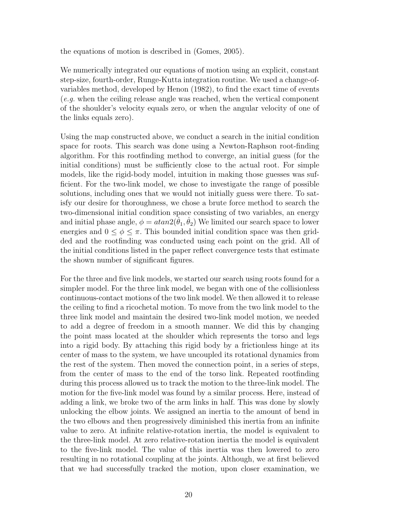the equations of motion is described in (Gomes, 2005).

We numerically integrated our equations of motion using an explicit, constant step-size, fourth-order, Runge-Kutta integration routine. We used a change-ofvariables method, developed by Henon (1982), to find the exact time of events (e.g. when the ceiling release angle was reached, when the vertical component of the shoulder's velocity equals zero, or when the angular velocity of one of the links equals zero).

Using the map constructed above, we conduct a search in the initial condition space for roots. This search was done using a Newton-Raphson root-finding algorithm. For this rootfinding method to converge, an initial guess (for the initial conditions) must be sufficiently close to the actual root. For simple models, like the rigid-body model, intuition in making those guesses was sufficient. For the two-link model, we chose to investigate the range of possible solutions, including ones that we would not initially guess were there. To satisfy our desire for thoroughness, we chose a brute force method to search the two-dimensional initial condition space consisting of two variables, an energy and initial phase angle,  $\phi = \frac{atan2(\theta_1, \theta_2)}{P}$  We limited our search space to lower energies and  $0 \le \phi \le \pi$ . This bounded initial condition space was then gridded and the rootfinding was conducted using each point on the grid. All of the initial conditions listed in the paper reflect convergence tests that estimate the shown number of significant figures.

For the three and five link models, we started our search using roots found for a simpler model. For the three link model, we began with one of the collisionless continuous-contact motions of the two link model. We then allowed it to release the ceiling to find a ricochetal motion. To move from the two link model to the three link model and maintain the desired two-link model motion, we needed to add a degree of freedom in a smooth manner. We did this by changing the point mass located at the shoulder which represents the torso and legs into a rigid body. By attaching this rigid body by a frictionless hinge at its center of mass to the system, we have uncoupled its rotational dynamics from the rest of the system. Then moved the connection point, in a series of steps, from the center of mass to the end of the torso link. Repeated rootfinding during this process allowed us to track the motion to the three-link model. The motion for the five-link model was found by a similar process. Here, instead of adding a link, we broke two of the arm links in half. This was done by slowly unlocking the elbow joints. We assigned an inertia to the amount of bend in the two elbows and then progressively diminished this inertia from an infinite value to zero. At infinite relative-rotation inertia, the model is equivalent to the three-link model. At zero relative-rotation inertia the model is equivalent to the five-link model. The value of this inertia was then lowered to zero resulting in no rotational coupling at the joints. Although, we at first believed that we had successfully tracked the motion, upon closer examination, we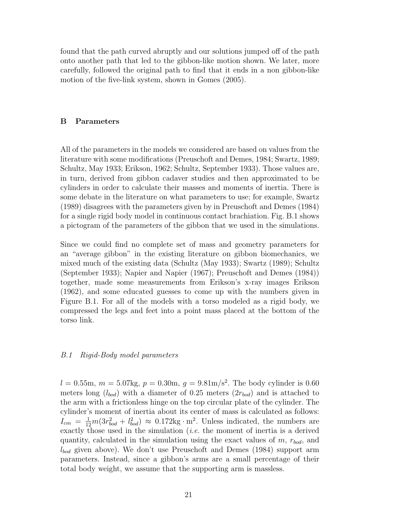found that the path curved abruptly and our solutions jumped off of the path onto another path that led to the gibbon-like motion shown. We later, more carefully, followed the original path to find that it ends in a non gibbon-like motion of the five-link system, shown in Gomes (2005).

# B Parameters

All of the parameters in the models we considered are based on values from the literature with some modifications (Preuschoft and Demes, 1984; Swartz, 1989; Schultz, May 1933; Erikson, 1962; Schultz, September 1933). Those values are, in turn, derived from gibbon cadaver studies and then approximated to be cylinders in order to calculate their masses and moments of inertia. There is some debate in the literature on what parameters to use; for example, Swartz (1989) disagrees with the parameters given by in Preuschoft and Demes (1984) for a single rigid body model in continuous contact brachiation. Fig. B.1 shows a pictogram of the parameters of the gibbon that we used in the simulations.

Since we could find no complete set of mass and geometry parameters for an "average gibbon" in the existing literature on gibbon biomechanics, we mixed much of the existing data (Schultz (May 1933); Swartz (1989); Schultz (September 1933); Napier and Napier (1967); Preuschoft and Demes (1984)) together, made some measurements from Erikson's x-ray images Erikson (1962), and some educated guesses to come up with the numbers given in Figure B.1. For all of the models with a torso modeled as a rigid body, we compressed the legs and feet into a point mass placed at the bottom of the torso link.

## B.1 Rigid-Body model parameters

 $l = 0.55$ m,  $m = 5.07$ kg,  $p = 0.30$ m,  $q = 9.81$ m/s<sup>2</sup>. The body cylinder is 0.60 meters long  $(l_{bod})$  with a diameter of 0.25 meters  $(2r_{bod})$  and is attached to the arm with a frictionless hinge on the top circular plate of the cylinder. The cylinder's moment of inertia about its center of mass is calculated as follows:  $I_{cm} = \frac{1}{12}m(3r_{bod}^2 + l_{bod}^2) \approx 0.172\text{kg}\cdot\text{m}^2$ . Unless indicated, the numbers are exactly those used in the simulation  $(i.e.$  the moment of inertia is a derived quantity, calculated in the simulation using the exact values of  $m$ ,  $r_{bod}$ , and  $l_{bod}$  given above). We don't use Preuschoft and Demes (1984) support arm parameters. Instead, since a gibbon's arms are a small percentage of their total body weight, we assume that the supporting arm is massless.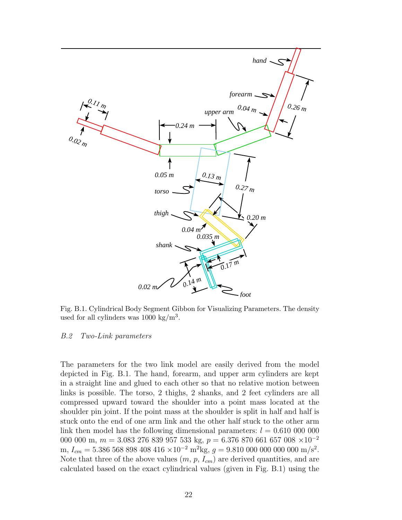

Fig. B.1. Cylindrical Body Segment Gibbon for Visualizing Parameters. The density used for all cylinders was  $1000 \text{ kg/m}^3$ .

### B.2 Two-Link parameters

The parameters for the two link model are easily derived from the model depicted in Fig. B.1. The hand, forearm, and upper arm cylinders are kept in a straight line and glued to each other so that no relative motion between links is possible. The torso, 2 thighs, 2 shanks, and 2 feet cylinders are all compressed upward toward the shoulder into a point mass located at the shoulder pin joint. If the point mass at the shoulder is split in half and half is stuck onto the end of one arm link and the other half stuck to the other arm link then model has the following dimensional parameters:  $l = 0.610\ 000\ 000$ 000 000 m,  $m = 3.083\ 276\ 839\ 957\ 533\ \text{kg},\ p = 6.376\ 870\ 661\ 657\ 008\ \times 10^{-2}$ m,  $I_{cm} = 5.386\,568\,898\,408\,416\times10^{-2} \text{ m}^2\text{kg}, g = 9.810\,000\,000\,000\,000 \text{ m/s}^2.$ Note that three of the above values  $(m, p, I_{cm})$  are derived quantities, and are calculated based on the exact cylindrical values (given in Fig. B.1) using the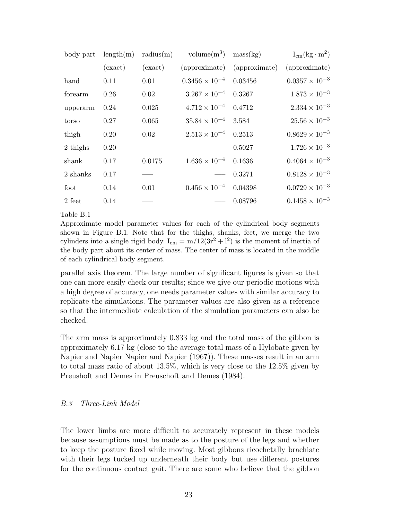| body part | length(m) | radius(m) | volume $(m^3)$ mass $(kg)$      |                             | $I_{cm}(kg \cdot m^2)$  |
|-----------|-----------|-----------|---------------------------------|-----------------------------|-------------------------|
|           | (exact)   | (exact)   |                                 | (approximate) (approximate) | (approximate)           |
| hand      | 0.11      | 0.01      | $0.3456 \times 10^{-4}$ 0.03456 |                             | $0.0357 \times 10^{-3}$ |
| forearm   | 0.26      | 0.02      | $3.267 \times 10^{-4}$ 0.3267   |                             | $1.873 \times 10^{-3}$  |
| upperarm  | 0.24      | 0.025     | $4.712 \times 10^{-4}$ 0.4712   |                             | $2.334 \times 10^{-3}$  |
| torso     | 0.27      | 0.065     | $35.84 \times 10^{-4}$ 3.584    |                             | $25.56 \times 10^{-3}$  |
| thigh     | 0.20      | 0.02      | $2.513 \times 10^{-4}$ 0.2513   |                             | $0.8629 \times 10^{-3}$ |
| 2 thighs  | 0.20      |           | $\overline{\phantom{a}}$        | 0.5027                      | $1.726 \times 10^{-3}$  |
| shank     | 0.17      | 0.0175    | $1.636 \times 10^{-4}$ 0.1636   |                             | $0.4064 \times 10^{-3}$ |
| 2 shanks  | 0.17      |           | $\hspace{0.05cm}$               | 0.3271                      | $0.8128 \times 10^{-3}$ |
| foot      | 0.14      | 0.01      | $0.456 \times 10^{-4}$ 0.04398  |                             | $0.0729 \times 10^{-3}$ |
| $2$ feet  | 0.14      |           | $\hspace{0.05cm}$               | 0.08796                     | $0.1458 \times 10^{-3}$ |

# Table B.1

Approximate model parameter values for each of the cylindrical body segments shown in Figure B.1. Note that for the thighs, shanks, feet, we merge the two cylinders into a single rigid body.  $I_{cm} = m/12(3r^2 + l^2)$  is the moment of inertia of the body part about its center of mass. The center of mass is located in the middle of each cylindrical body segment.

parallel axis theorem. The large number of significant figures is given so that one can more easily check our results; since we give our periodic motions with a high degree of accuracy, one needs parameter values with similar accuracy to replicate the simulations. The parameter values are also given as a reference so that the intermediate calculation of the simulation parameters can also be checked.

The arm mass is approximately 0.833 kg and the total mass of the gibbon is approximately 6.17 kg (close to the average total mass of a Hylobate given by Napier and Napier Napier and Napier (1967)). These masses result in an arm to total mass ratio of about 13.5%, which is very close to the 12.5% given by Preushoft and Demes in Preuschoft and Demes (1984).

# B.3 Three-Link Model

The lower limbs are more difficult to accurately represent in these models because assumptions must be made as to the posture of the legs and whether to keep the posture fixed while moving. Most gibbons ricochetally brachiate with their legs tucked up underneath their body but use different postures for the continuous contact gait. There are some who believe that the gibbon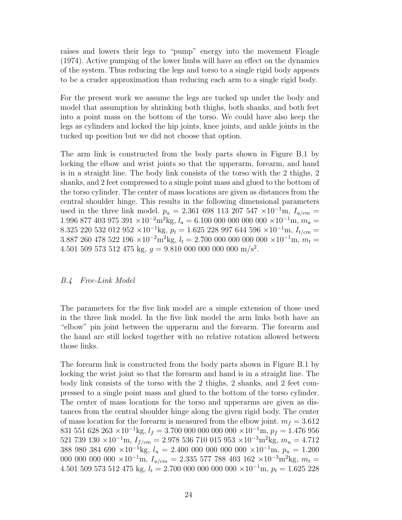raises and lowers their legs to "pump" energy into the movement Fleagle (1974). Active pumping of the lower limbs will have an effect on the dynamics of the system. Thus reducing the legs and torso to a single rigid body appears to be a cruder approximation than reducing each arm to a single rigid body.

For the present work we assume the legs are tucked up under the body and model that assumption by shrinking both thighs, both shanks, and both feet into a point mass on the bottom of the torso. We could have also keep the legs as cylinders and locked the hip joints, knee joints, and ankle joints in the tucked up position but we did not choose that option.

The arm link is constructed from the body parts shown in Figure B.1 by locking the elbow and wrist joints so that the upperarm, forearm, and hand is in a straight line. The body link consists of the torso with the 2 thighs, 2 shanks, and 2 feet compressed to a single point mass and glued to the bottom of the torso cylinder. The center of mass locations are given as distances from the central shoulder hinge. This results in the following dimensional parameters used in the three link model.  $p_a = 2.361\,698\,113\,207\,547\,\times10^{-1}$ m,  $I_{a/cm} =$  $1.996$  877 403 975 391 ×10<sup>-2</sup>m<sup>2</sup>kg,  $l_a = 6.100$  000 000 000 000 ×10<sup>-1</sup>m,  $m_a =$ 8.325 220 532 012 952 ×10<sup>-1</sup>kg,  $p_t = 1.625$  228 997 644 596 ×10<sup>-1</sup>m,  $I_{t/cm} =$ 3.887 260 478 522 196 ×10<sup>-2</sup>m<sup>2</sup>kg,  $l_t = 2.700\ 000\ 000\ 000\ 000 \times 10^{-1}$ m,  $m_t =$ 4.501 509 573 512 475 kg,  $g = 9.810\ 000\ 000\ 000\ \text{m/s}^2$ .

## B.4 Five-Link Model

The parameters for the five link model are a simple extension of those used in the three link model. In the five link model the arm links both have an "elbow" pin joint between the upperarm and the forearm. The forearm and the hand are still locked together with no relative rotation allowed between those links.

The forearm link is constructed from the body parts shown in Figure B.1 by locking the wrist joint so that the forearm and hand is in a straight line. The body link consists of the torso with the 2 thighs, 2 shanks, and 2 feet compressed to a single point mass and glued to the bottom of the torso cylinder. The center of mass locations for the torso and upperarms are given as distances from the central shoulder hinge along the given rigid body. The center of mass location for the forearm is measured from the elbow joint.  $m_f = 3.612$ 831 551 628 263 ×10<sup>-1</sup>kg,  $l_f = 3.700\ 000\ 000\ 000\ 000\ 000\ x10^{-1}$ m,  $p_f = 1.476\ 956$ 521 739 130 ×10<sup>-1</sup>m,  $I_{f/cm}$  = 2.978 536 710 015 953 ×10<sup>-3</sup>m<sup>2</sup>kg,  $m_u$  = 4.712 388 980 384 690 ×10<sup>-1</sup>kg,  $l_u = 2.400\ 000\ 000\ 000\ 000\ x10^{-1}$ m,  $p_u = 1.200$ 000 000 000 000 ×10<sup>-1</sup>m,  $I_{u/cm} = 2.335\,577\,788\,403\,162\,\times10^{-3}\text{m}^2\text{kg}, m_t =$ 4.501 509 573 512 475 kg,  $l_t = 2.700\ 000\ 000\ 000\ 000\times10^{-1}$ m,  $p_t = 1.625\ 228$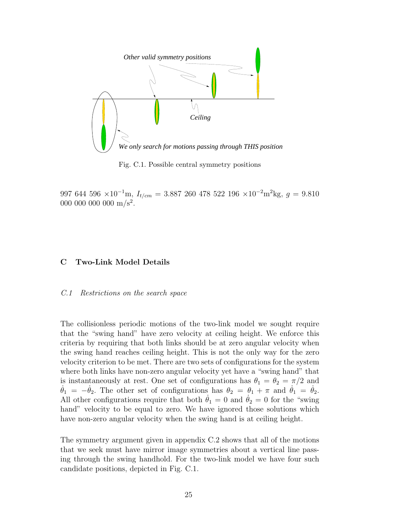

Fig. C.1. Possible central symmetry positions

997 644 596 ×10<sup>-1</sup>m,  $I_{t/cm}$  = 3.887 260 478 522 196 ×10<sup>-2</sup>m<sup>2</sup>kg,  $g = 9.810$ 000 000 000  $\text{m/s}^2$ .

## C Two-Link Model Details

#### C.1 Restrictions on the search space

The collisionless periodic motions of the two-link model we sought require that the "swing hand" have zero velocity at ceiling height. We enforce this criteria by requiring that both links should be at zero angular velocity when the swing hand reaches ceiling height. This is not the only way for the zero velocity criterion to be met. There are two sets of configurations for the system where both links have non-zero angular velocity yet have a "swing hand" that is instantaneously at rest. One set of configurations has  $\theta_1 = \theta_2 = \pi/2$  and  $\dot{\theta}_1 = -\dot{\theta}_2$ . The other set of configurations has  $\theta_2 = \theta_1 + \pi$  and  $\dot{\theta}_1 = \dot{\theta}_2$ . All other configurations require that both  $\dot{\theta}_1 = 0$  and  $\dot{\theta}_2 = 0$  for the "swing" hand" velocity to be equal to zero. We have ignored those solutions which have non-zero angular velocity when the swing hand is at ceiling height.

The symmetry argument given in appendix C.2 shows that all of the motions that we seek must have mirror image symmetries about a vertical line passing through the swing handhold. For the two-link model we have four such candidate positions, depicted in Fig. C.1.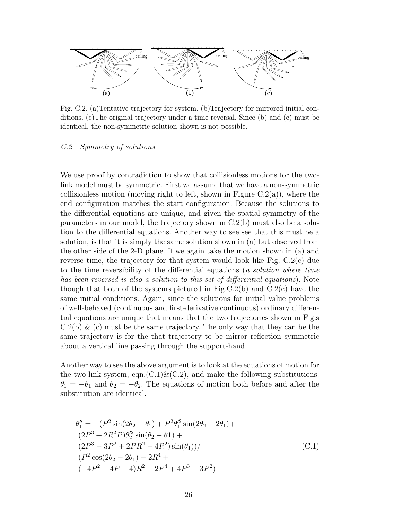

Fig. C.2. (a)Tentative trajectory for system. (b)Trajectory for mirrored initial conditions. (c)The original trajectory under a time reversal. Since (b) and (c) must be identical, the non-symmetric solution shown is not possible.

### C.2 Symmetry of solutions

We use proof by contradiction to show that collisionless motions for the twolink model must be symmetric. First we assume that we have a non-symmetric collisionless motion (moving right to left, shown in Figure  $C.2(a)$ ), where the end configuration matches the start configuration. Because the solutions to the differential equations are unique, and given the spatial symmetry of the parameters in our model, the trajectory shown in C.2(b) must also be a solution to the differential equations. Another way to see see that this must be a solution, is that it is simply the same solution shown in (a) but observed from the other side of the 2-D plane. If we again take the motion shown in (a) and reverse time, the trajectory for that system would look like Fig. C.2(c) due to the time reversibility of the differential equations (a solution where time has been reversed is also a solution to this set of differential equations). Note though that both of the systems pictured in Fig.C.2(b) and  $C.2(c)$  have the same initial conditions. Again, since the solutions for initial value problems of well-behaved (continuous and first-derivative continuous) ordinary differential equations are unique that means that the two trajectories shown in Fig.s  $C.2(b)$  & (c) must be the same trajectory. The only way that they can be the same trajectory is for the that trajectory to be mirror reflection symmetric about a vertical line passing through the support-hand.

Another way to see the above argument is to look at the equations of motion for the two-link system, eqn.(C.1) $\&$ (C.2), and make the following substitutions:  $\theta_1 = -\theta_1$  and  $\theta_2 = -\theta_2$ . The equations of motion both before and after the substitution are identical.

$$
\theta_1'' = -(P^2 \sin(2\theta_2 - \theta_1) + P^2 \theta_1'^2 \sin(2\theta_2 - 2\theta_1) +
$$
  
\n
$$
(2P^3 + 2R^2 P)\theta_2'^2 \sin(\theta_2 - \theta_1) +
$$
  
\n
$$
(2P^3 - 3P^2 + 2PR^2 - 4R^2) \sin(\theta_1) /
$$
  
\n
$$
(P^2 \cos(2\theta_2 - 2\theta_1) - 2R^4 +
$$
  
\n
$$
(-4P^2 + 4P - 4)R^2 - 2P^4 + 4P^3 - 3P^2)
$$
\n(C.1)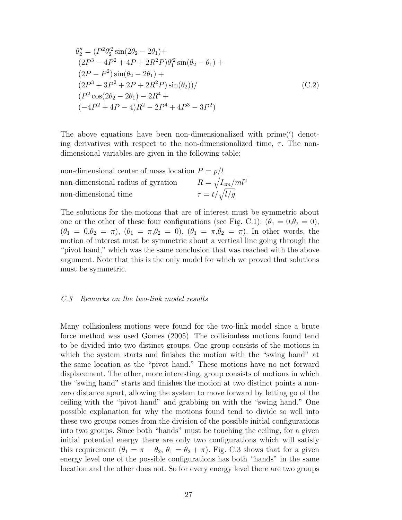$$
\theta_2'' = (P^2 \theta_2'^2 \sin(2\theta_2 - 2\theta_1) +
$$
  
\n
$$
(2P^3 - 4P^2 + 4P + 2R^2 P)\theta_1'^2 \sin(\theta_2 - \theta_1) +
$$
  
\n
$$
(2P - P^2) \sin(\theta_2 - 2\theta_1) +
$$
  
\n
$$
(2P^3 + 3P^2 + 2P + 2R^2 P) \sin(\theta_2) /
$$
  
\n
$$
(P^2 \cos(2\theta_2 - 2\theta_1) - 2R^4 +
$$
  
\n
$$
(-4P^2 + 4P - 4)R^2 - 2P^4 + 4P^3 - 3P^2)
$$
\n(C.2)

The above equations have been non-dimensionalized with prime(') denoting derivatives with respect to the non-dimensionalized time,  $\tau$ . The nondimensional variables are given in the following table:

|                      | non-dimensional center of mass location $P = p/l$ |                          |
|----------------------|---------------------------------------------------|--------------------------|
|                      | non-dimensional radius of gyration                | $R = \sqrt{I_{cm}/ml^2}$ |
| non-dimensional time |                                                   | $\tau = t/\sqrt{l/g}$    |

The solutions for the motions that are of interest must be symmetric about one or the other of these four configurations (see Fig. C.1):  $(\theta_1 = 0, \theta_2 = 0)$ ,  $(\theta_1 = 0, \theta_2 = \pi), (\theta_1 = \pi, \theta_2 = 0), (\theta_1 = \pi, \theta_2 = \pi).$  In other words, the motion of interest must be symmetric about a vertical line going through the "pivot hand," which was the same conclusion that was reached with the above argument. Note that this is the only model for which we proved that solutions must be symmetric.

## C.3 Remarks on the two-link model results

Many collisionless motions were found for the two-link model since a brute force method was used Gomes (2005). The collisionless motions found tend to be divided into two distinct groups. One group consists of the motions in which the system starts and finishes the motion with the "swing hand" at the same location as the "pivot hand." These motions have no net forward displacement. The other, more interesting, group consists of motions in which the "swing hand" starts and finishes the motion at two distinct points a nonzero distance apart, allowing the system to move forward by letting go of the ceiling with the "pivot hand" and grabbing on with the "swing hand." One possible explanation for why the motions found tend to divide so well into these two groups comes from the division of the possible initial configurations into two groups. Since both "hands" must be touching the ceiling, for a given initial potential energy there are only two configurations which will satisfy this requirement  $(\theta_1 = \pi - \theta_2, \theta_1 = \theta_2 + \pi)$ . Fig. C.3 shows that for a given energy level one of the possible configurations has both "hands" in the same location and the other does not. So for every energy level there are two groups